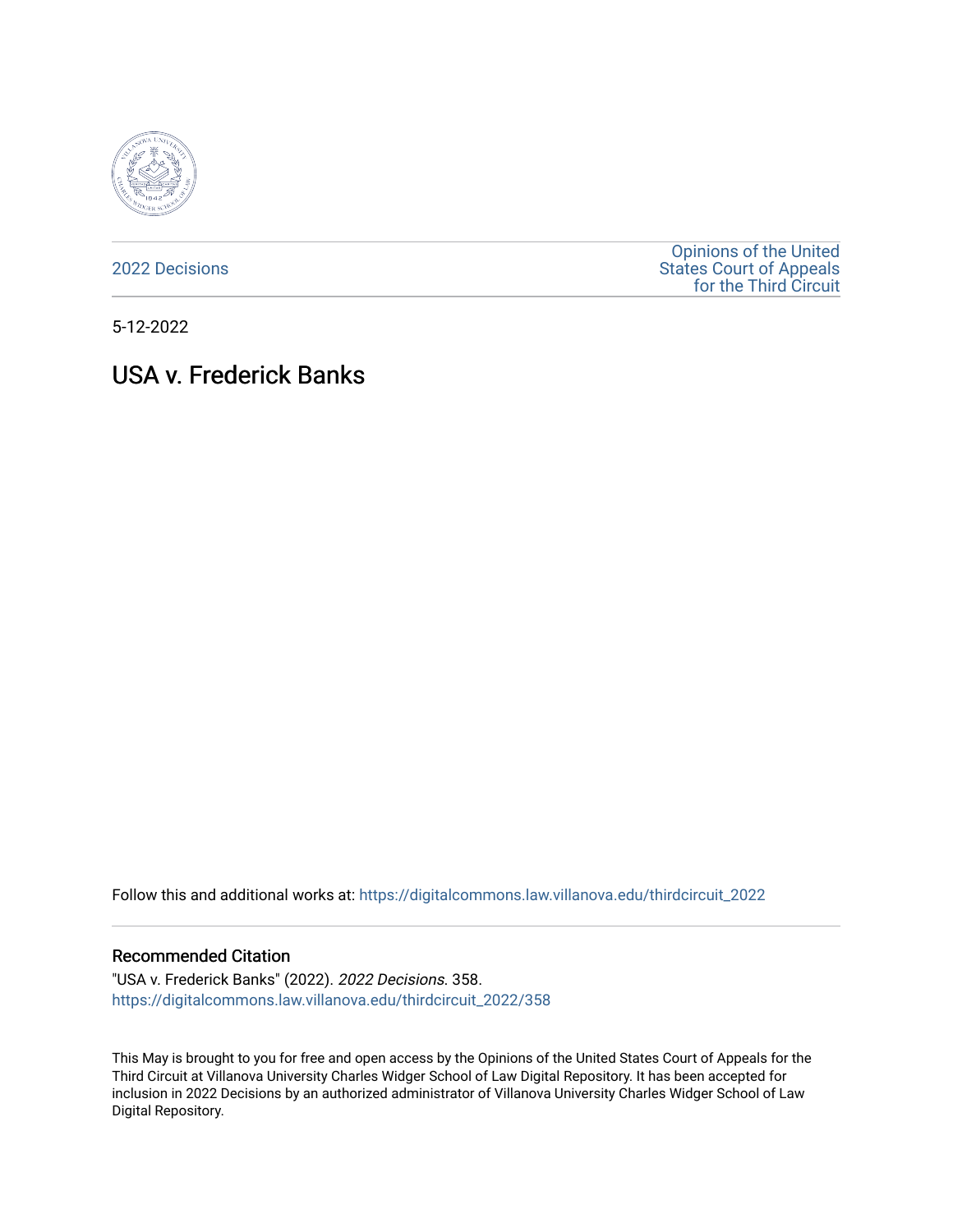

[2022 Decisions](https://digitalcommons.law.villanova.edu/thirdcircuit_2022)

[Opinions of the United](https://digitalcommons.law.villanova.edu/thirdcircuit)  [States Court of Appeals](https://digitalcommons.law.villanova.edu/thirdcircuit)  [for the Third Circuit](https://digitalcommons.law.villanova.edu/thirdcircuit) 

5-12-2022

# USA v. Frederick Banks

Follow this and additional works at: [https://digitalcommons.law.villanova.edu/thirdcircuit\\_2022](https://digitalcommons.law.villanova.edu/thirdcircuit_2022?utm_source=digitalcommons.law.villanova.edu%2Fthirdcircuit_2022%2F358&utm_medium=PDF&utm_campaign=PDFCoverPages) 

#### Recommended Citation

"USA v. Frederick Banks" (2022). 2022 Decisions. 358. [https://digitalcommons.law.villanova.edu/thirdcircuit\\_2022/358](https://digitalcommons.law.villanova.edu/thirdcircuit_2022/358?utm_source=digitalcommons.law.villanova.edu%2Fthirdcircuit_2022%2F358&utm_medium=PDF&utm_campaign=PDFCoverPages)

This May is brought to you for free and open access by the Opinions of the United States Court of Appeals for the Third Circuit at Villanova University Charles Widger School of Law Digital Repository. It has been accepted for inclusion in 2022 Decisions by an authorized administrator of Villanova University Charles Widger School of Law Digital Repository.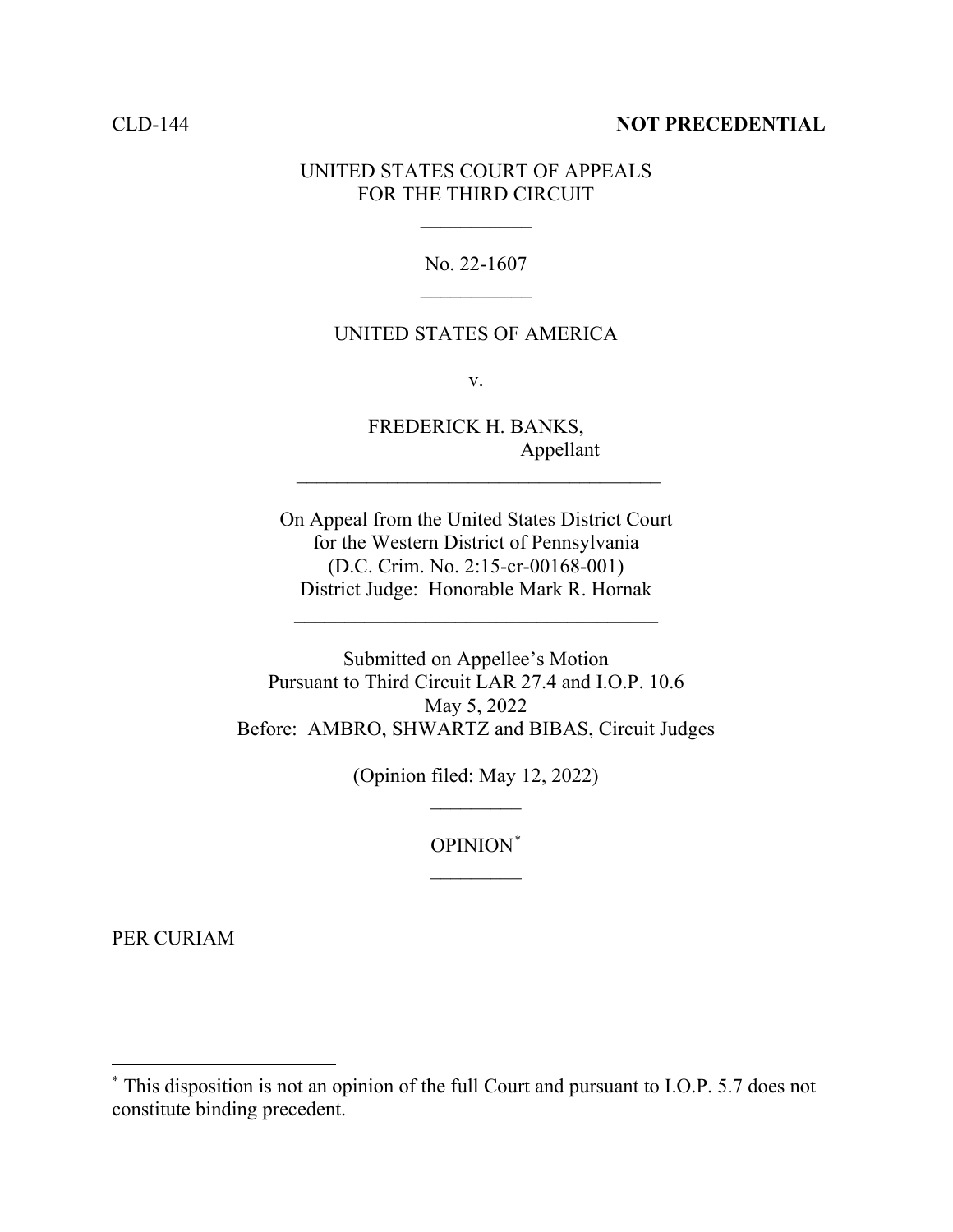### CLD-144 **NOT PRECEDENTIAL**

## UNITED STATES COURT OF APPEALS FOR THE THIRD CIRCUIT

 $\frac{1}{2}$ 

No. 22-1607  $\frac{1}{2}$ 

## UNITED STATES OF AMERICA

v.

FREDERICK H. BANKS, Appellant

\_\_\_\_\_\_\_\_\_\_\_\_\_\_\_\_\_\_\_\_\_\_\_\_\_\_\_\_\_\_\_\_\_\_\_\_

On Appeal from the United States District Court for the Western District of Pennsylvania (D.C. Crim. No. 2:15-cr-00168-001) District Judge: Honorable Mark R. Hornak

 $\mathcal{L}_\text{max}$  , where  $\mathcal{L}_\text{max}$  is the set of the set of the set of the set of the set of the set of the set of the set of the set of the set of the set of the set of the set of the set of the set of the set of the se

Submitted on Appellee's Motion Pursuant to Third Circuit LAR 27.4 and I.O.P. 10.6 May 5, 2022 Before: AMBRO, SHWARTZ and BIBAS, Circuit Judges

> (Opinion filed: May 12, 2022)  $\overline{\phantom{a}}$

> > OPINION[\\*](#page-1-0)  $\overline{\phantom{a}}$

PER CURIAM

<span id="page-1-0"></span><sup>\*</sup> This disposition is not an opinion of the full Court and pursuant to I.O.P. 5.7 does not constitute binding precedent.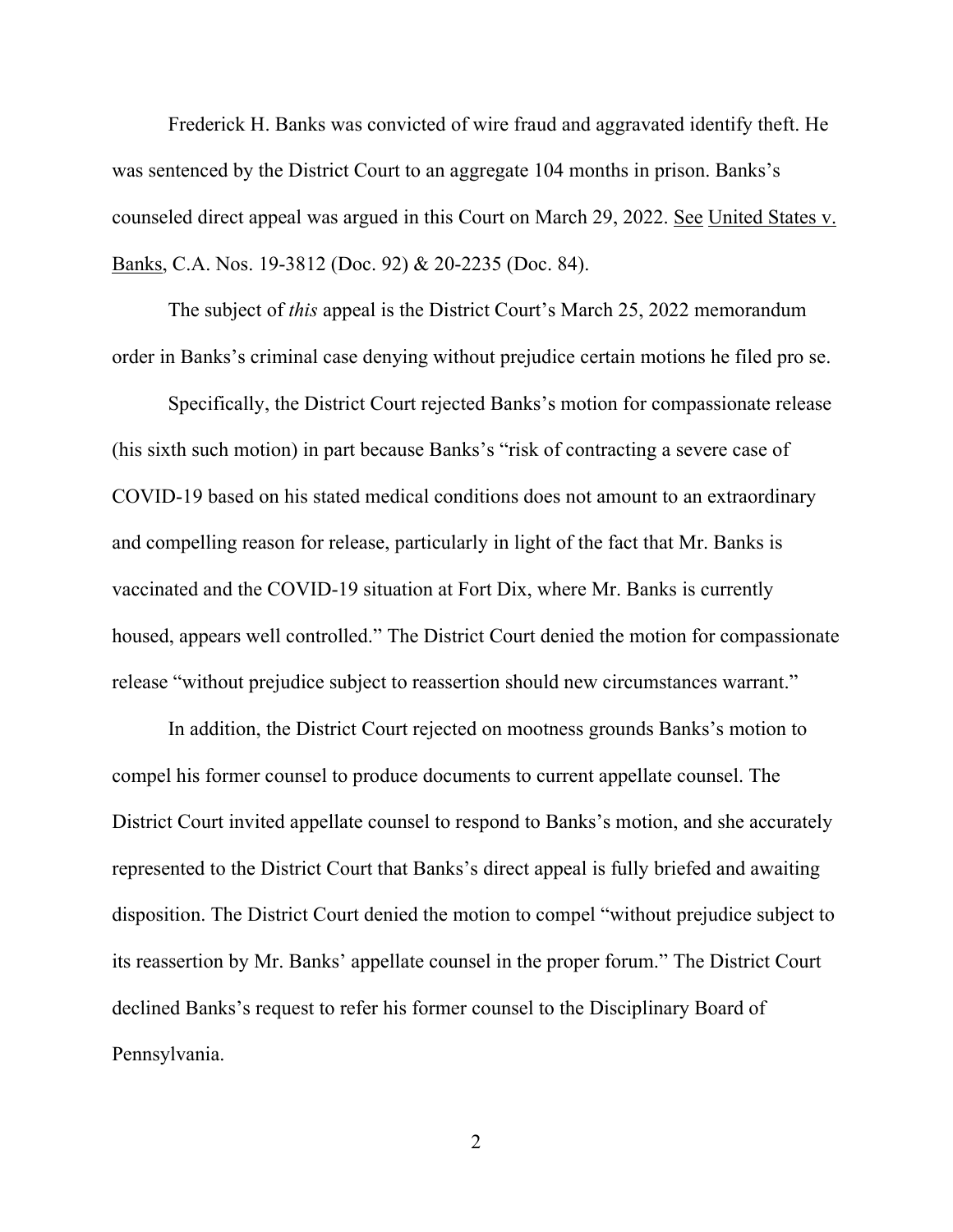Frederick H. Banks was convicted of wire fraud and aggravated identify theft. He was sentenced by the District Court to an aggregate 104 months in prison. Banks's counseled direct appeal was argued in this Court on March 29, 2022. See United States v. Banks, C.A. Nos. 19-3812 (Doc. 92) & 20-2235 (Doc. 84).

The subject of *this* appeal is the District Court's March 25, 2022 memorandum order in Banks's criminal case denying without prejudice certain motions he filed pro se.

Specifically, the District Court rejected Banks's motion for compassionate release (his sixth such motion) in part because Banks's "risk of contracting a severe case of COVID-19 based on his stated medical conditions does not amount to an extraordinary and compelling reason for release, particularly in light of the fact that Mr. Banks is vaccinated and the COVID-19 situation at Fort Dix, where Mr. Banks is currently housed, appears well controlled." The District Court denied the motion for compassionate release "without prejudice subject to reassertion should new circumstances warrant."

In addition, the District Court rejected on mootness grounds Banks's motion to compel his former counsel to produce documents to current appellate counsel. The District Court invited appellate counsel to respond to Banks's motion, and she accurately represented to the District Court that Banks's direct appeal is fully briefed and awaiting disposition. The District Court denied the motion to compel "without prejudice subject to its reassertion by Mr. Banks' appellate counsel in the proper forum." The District Court declined Banks's request to refer his former counsel to the Disciplinary Board of Pennsylvania.

 $\mathfrak{D}$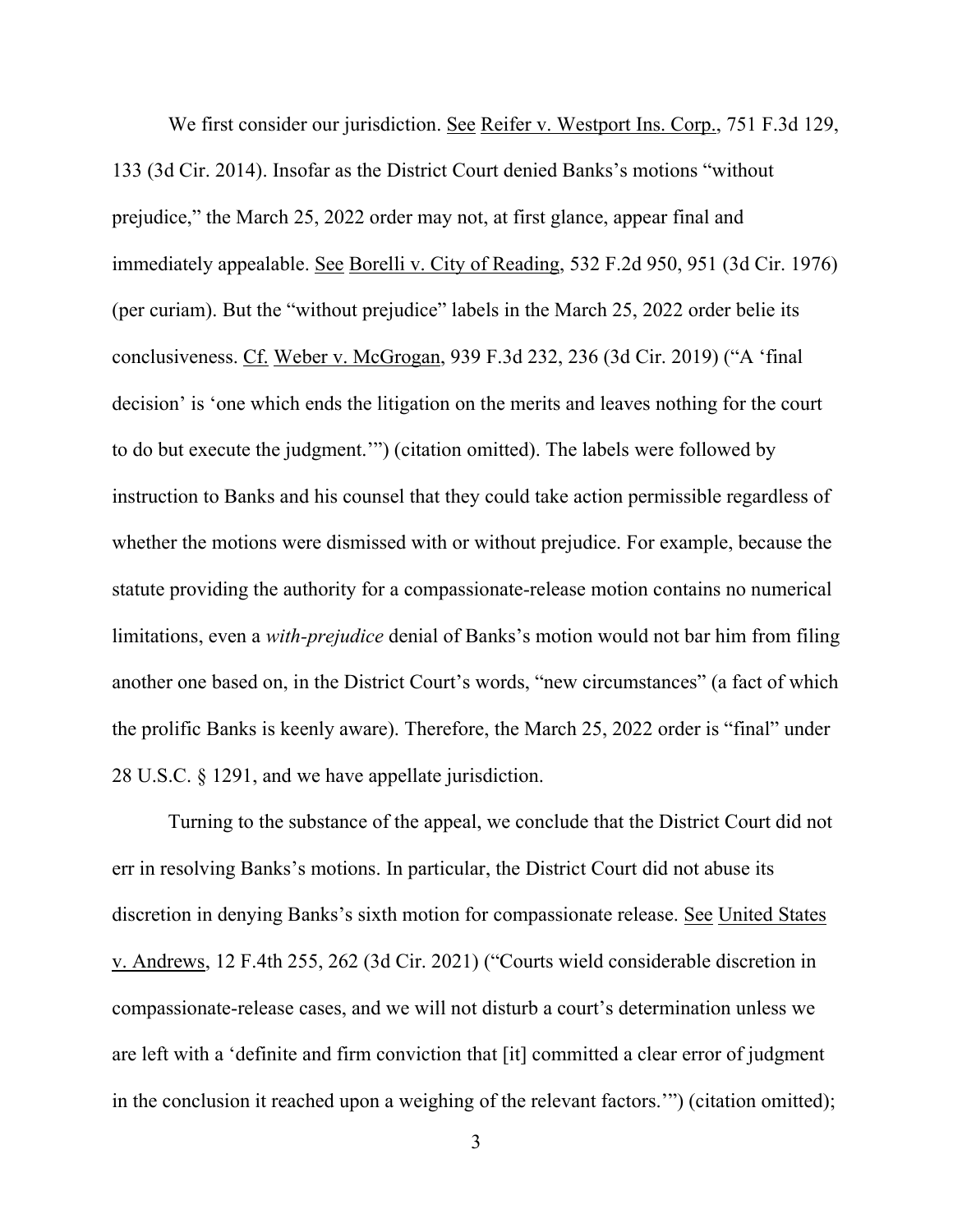We first consider our jurisdiction. See Reifer v. Westport Ins. Corp., 751 F.3d 129, 133 (3d Cir. 2014). Insofar as the District Court denied Banks's motions "without prejudice," the March 25, 2022 order may not, at first glance, appear final and immediately appealable. See Borelli v. City of Reading, 532 F.2d 950, 951 (3d Cir. 1976) (per curiam). But the "without prejudice" labels in the March 25, 2022 order belie its conclusiveness. Cf. Weber v. McGrogan, 939 F.3d 232, 236 (3d Cir. 2019) ("A 'final decision' is 'one which ends the litigation on the merits and leaves nothing for the court to do but execute the judgment.'") (citation omitted). The labels were followed by instruction to Banks and his counsel that they could take action permissible regardless of whether the motions were dismissed with or without prejudice. For example, because the statute providing the authority for a compassionate-release motion contains no numerical limitations, even a *with-prejudice* denial of Banks's motion would not bar him from filing another one based on, in the District Court's words, "new circumstances" (a fact of which the prolific Banks is keenly aware). Therefore, the March 25, 2022 order is "final" under 28 U.S.C. § 1291, and we have appellate jurisdiction.

Turning to the substance of the appeal, we conclude that the District Court did not err in resolving Banks's motions. In particular, the District Court did not abuse its discretion in denying Banks's sixth motion for compassionate release. See United States v. Andrews, 12 F.4th 255, 262 (3d Cir. 2021) ("Courts wield considerable discretion in compassionate-release cases, and we will not disturb a court's determination unless we are left with a 'definite and firm conviction that [it] committed a clear error of judgment in the conclusion it reached upon a weighing of the relevant factors.'") (citation omitted);

3